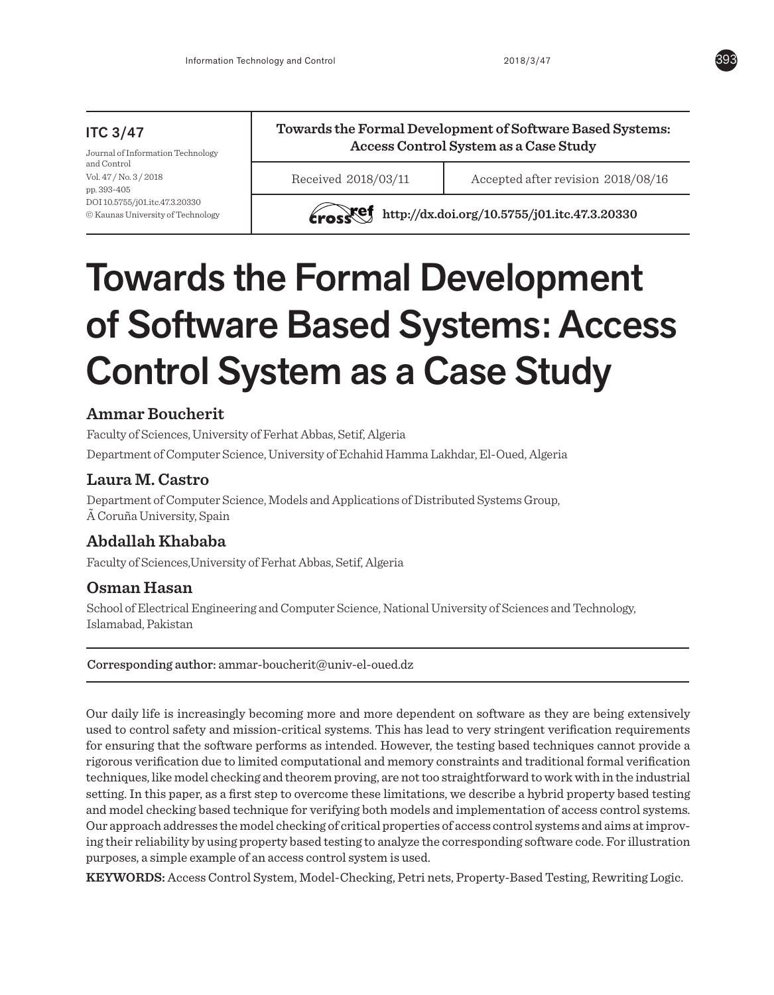# ITC 3/47

Journal of Information Technology and Control Vol. 47 / No. 3 / 2018 pp. 393-405 DOI 10.5755/j01.itc.47.3.20330 © Kaunas University of Technology **Towards the Formal Development of Software Based Systems: Access Control System as a Case Study**

Received 2018/03/11 Accepted after revision 2018/08/16

**http://dx.doi.org/10.5755/j01.itc.47.3.20330** 

# Towards the Formal Development of Software Based Systems: Access Control System as a Case Study

# **Ammar Boucherit**

Faculty of Sciences, University of Ferhat Abbas, Setif, Algeria

Department of Computer Science, University of Echahid Hamma Lakhdar, El-Oued, Algeria

# **Laura M. Castro**

Department of Computer Science, Models and Applications of Distributed Systems Group, à Coruña University, Spain

# **Abdallah Khababa**

Faculty of Sciences,University of Ferhat Abbas, Setif, Algeria

## **Osman Hasan**

School of Electrical Engineering and Computer Science, National University of Sciences and Technology, Islamabad, Pakistan

## Corresponding author: ammar-boucherit@univ-el-oued.dz

Our daily life is increasingly becoming more and more dependent on software as they are being extensively used to control safety and mission-critical systems. This has lead to very stringent verification requirements for ensuring that the software performs as intended. However, the testing based techniques cannot provide a rigorous verification due to limited computational and memory constraints and traditional formal verification techniques, like model checking and theorem proving, are not too straightforward to work with in the industrial setting. In this paper, as a first step to overcome these limitations, we describe a hybrid property based testing and model checking based technique for verifying both models and implementation of access control systems. Our approach addresses the model checking of critical properties of access control systems and aims at improving their reliability by using property based testing to analyze the corresponding software code. For illustration purposes, a simple example of an access control system is used.

**KEYWORDS:** Access Control System, Model-Checking, Petri nets, Property-Based Testing, Rewriting Logic.

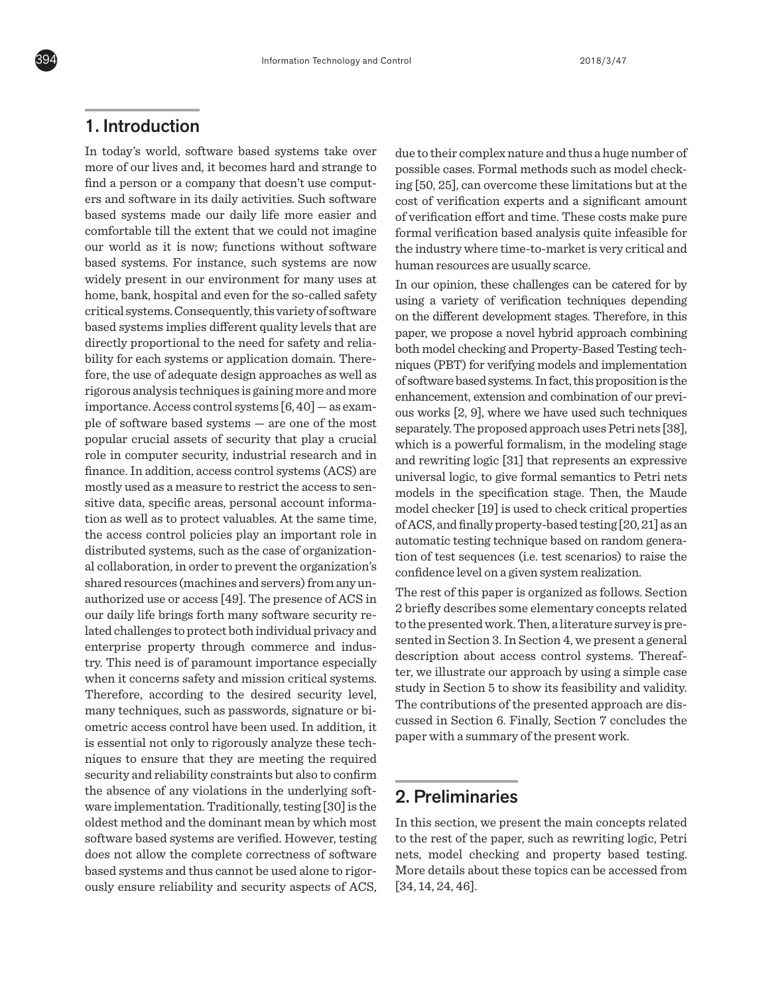

# 1. Introduction

In today's world, software based systems take over more of our lives and, it becomes hard and strange to find a person or a company that doesn't use computers and software in its daily activities. Such software based systems made our daily life more easier and comfortable till the extent that we could not imagine our world as it is now; functions without software based systems. For instance, such systems are now widely present in our environment for many uses at home, bank, hospital and even for the so-called safety critical systems. Consequently, this variety of software based systems implies different quality levels that are directly proportional to the need for safety and reliability for each systems or application domain. Therefore, the use of adequate design approaches as well as rigorous analysis techniques is gaining more and more importance. Access control systems [6, 40] — as example of software based systems — are one of the most popular crucial assets of security that play a crucial role in computer security, industrial research and in finance. In addition, access control systems (ACS) are mostly used as a measure to restrict the access to sensitive data, specific areas, personal account information as well as to protect valuables. At the same time, the access control policies play an important role in distributed systems, such as the case of organizational collaboration, in order to prevent the organization's shared resources (machines and servers) from any unauthorized use or access [49]. The presence of ACS in our daily life brings forth many software security related challenges to protect both individual privacy and enterprise property through commerce and industry. This need is of paramount importance especially when it concerns safety and mission critical systems. Therefore, according to the desired security level, many techniques, such as passwords, signature or biometric access control have been used. In addition, it is essential not only to rigorously analyze these techniques to ensure that they are meeting the required security and reliability constraints but also to confirm the absence of any violations in the underlying software implementation. Traditionally, testing [30] is the oldest method and the dominant mean by which most software based systems are verified. However, testing does not allow the complete correctness of software based systems and thus cannot be used alone to rigorously ensure reliability and security aspects of ACS,

due to their complex nature and thus a huge number of possible cases. Formal methods such as model checking [50, 25], can overcome these limitations but at the cost of verification experts and a significant amount of verification effort and time. These costs make pure formal verification based analysis quite infeasible for the industry where time-to-market is very critical and human resources are usually scarce.

In our opinion, these challenges can be catered for by using a variety of verification techniques depending on the different development stages. Therefore, in this paper, we propose a novel hybrid approach combining both model checking and Property-Based Testing techniques (PBT) for verifying models and implementation of software based systems. In fact, this proposition is the enhancement, extension and combination of our previous works [2, 9], where we have used such techniques separately. The proposed approach uses Petri nets [38], which is a powerful formalism, in the modeling stage and rewriting logic [31] that represents an expressive universal logic, to give formal semantics to Petri nets models in the specification stage. Then, the Maude model checker [19] is used to check critical properties of ACS, and finally property-based testing [20, 21] as an automatic testing technique based on random generation of test sequences (i.e. test scenarios) to raise the confidence level on a given system realization.

The rest of this paper is organized as follows. Section 2 briefly describes some elementary concepts related to the presented work. Then, a literature survey is presented in Section 3. In Section 4, we present a general description about access control systems. Thereafter, we illustrate our approach by using a simple case study in Section 5 to show its feasibility and validity. The contributions of the presented approach are discussed in Section 6. Finally, Section 7 concludes the paper with a summary of the present work.

## 2. Preliminaries

In this section, we present the main concepts related to the rest of the paper, such as rewriting logic, Petri nets, model checking and property based testing. More details about these topics can be accessed from [34, 14, 24, 46].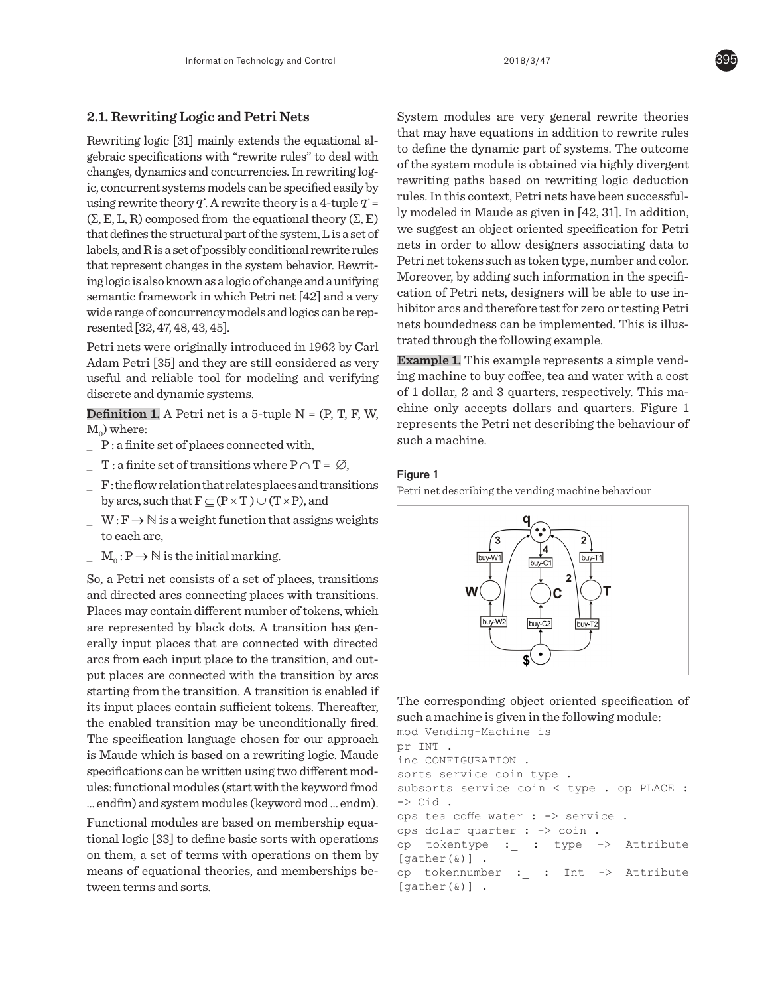### **2.1. Rewriting Logic and Petri Nets**

Rewriting logic [31] mainly extends the equational algebraic specifications with "rewrite rules" to deal with changes, dynamics and concurrencies. In rewriting logic, concurrent systems models can be specified easily by using rewrite theory  $\mathcal T$ . A rewrite theory is a 4-tuple  $\mathcal T$  =  $(\Sigma, E, L, R)$  composed from the equational theory  $(\Sigma, E)$ that defines the structural part of the system, L is a set of labels, and R is a set of possibly conditional rewrite rules that represent changes in the system behavior. Rewriting logic is also known as a logic of change and a unifying semantic framework in which Petri net [42] and a very wide range of concurrency models and logics can be represented [32, 47, 48, 43, 45].

Petri nets were originally introduced in 1962 by Carl Adam Petri [35] and they are still considered as very useful and reliable tool for modeling and verifying discrete and dynamic systems.

**Definition 1.** A Petri net is a 5-tuple  $N = (P, T, F, W, F)$  $M_0$ ) where:

- **\_** P : a finite set of places connected with,
- $\Gamma$  : a finite set of transitions where  $P \cap T = \emptyset$ ,
- **\_** F : the flow relation that relates places and transitions by arcs, such that  $F \subseteq (P \times T) \cup (T \times P)$ , and
- **\_** W : F →ℕ is a weight function that assigns weights to each arc,
- $M_0: P \to \mathbb{N}$  is the initial marking.

So, a Petri net consists of a set of places, transitions and directed arcs connecting places with transitions. Places may contain different number of tokens, which are represented by black dots. A transition has generally input places that are connected with directed arcs from each input place to the transition, and output places are connected with the transition by arcs starting from the transition. A transition is enabled if its input places contain sufficient tokens. Thereafter, the enabled transition may be unconditionally fired. The specification language chosen for our approach is Maude which is based on a rewriting logic. Maude specifications can be written using two different modules: functional modules (start with the keyword fmod ... endfm) and system modules (keyword mod ... endm).

Functional modules are based on membership equational logic [33] to define basic sorts with operations on them, a set of terms with operations on them by means of equational theories, and memberships between terms and sorts.

System modules are very general rewrite theories that may have equations in addition to rewrite rules to define the dynamic part of systems. The outcome of the system module is obtained via highly divergent rewriting paths based on rewriting logic deduction rules. In this context, Petri nets have been successfully modeled in Maude as given in [42, 31]. In addition, we suggest an object oriented specification for Petri nets in order to allow designers associating data to Petri net tokens such as token type, number and color. Moreover, by adding such information in the specification of Petri nets, designers will be able to use inhibitor arcs and therefore test for zero or testing Petri nets boundedness can be implemented. This is illustrated through the following example.

**Example 1.** This example represents a simple vending machine to buy coffee, tea and water with a cost of 1 dollar, 2 and 3 quarters, respectively. This machine only accepts dollars and quarters. Figure 1 represents the Petri net describing the behaviour of such a machine.

#### Figure 1

Petri net describing the vending machine behaviour



The corresponding object oriented specification of such a machine is given in the following module:

```
mod Vending-Machine is 
pr INT .
inc CONFIGURATION .
sorts service coin type . 
subsorts service coin < type . op PLACE : 
\rightarrow Cid.
ops tea coffe water : -> service . 
ops dolar quarter : -> coin .
op tokentype :_ : type -> Attribute 
[qather(\&)] .
op tokennumber :_ : Int -> Attribute 
[gather(k)].
```
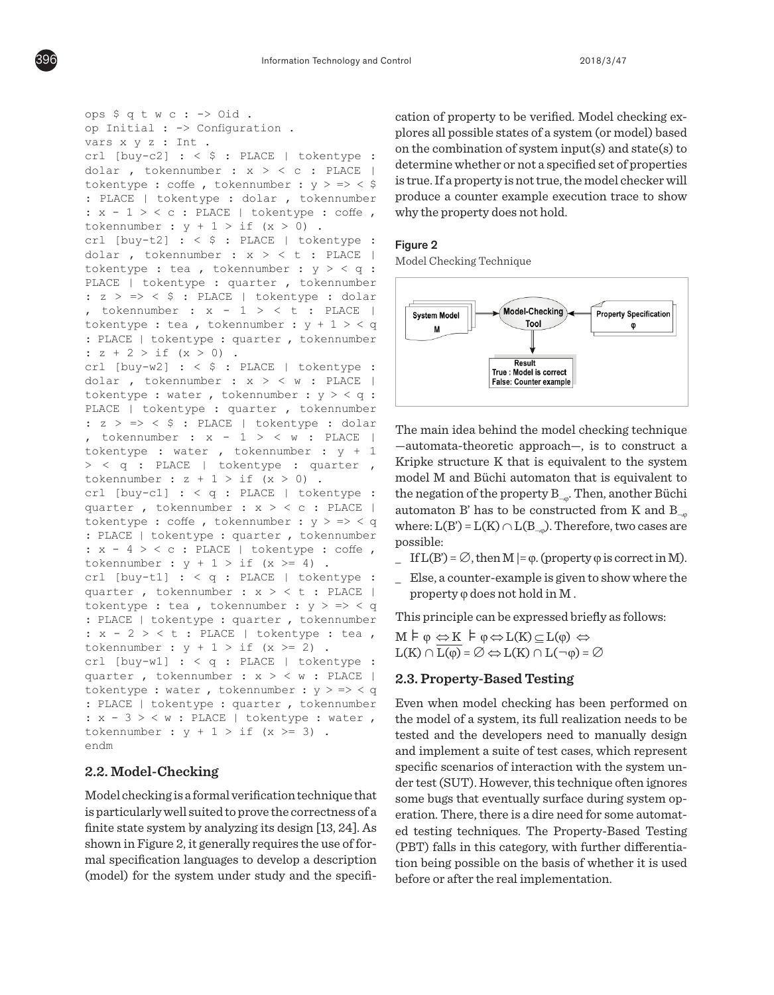```
ops \S q t w c : -> Oid .
op Initial : \rightarrow Configuration .
vars x y z : Int .
crl [buy-c2] : \leq $ : PLACE | tokentype :
dolar, tokennumber : x > c : PLACE |
tokentype : coffe , tokennumber : y \geq - < $
: PLACE | tokentype : dolar , tokennumber
: x - 1 > c : PLACE | tokentype : coffe ,
tokennumber : y + 1 > if (x > 0).
\text{ccl } [\text{buy-t2}] : \langle \xi : \text{Black} \rangle \text{ to } \langle \cdot \rangle.dolar , tokennumber : x > 0 t : PLACE |
tokentype : tea , tokennumber : y > 4 ;
PLACE | tokentype : quarter , tokennumber
: z > \Rightarrow < \Diamond : PLACE | tokentype : dolar
, tokennumber : x - 1 > 0 t : PLACE
tokentype : tea , tokennumber : y + 1 > 4: PLACE | tokentype : quarter , tokennumber 
PLACE | tokentype : quarter , tokennumber 
: z + 2 > if (x > 0).
crl [buy-w2] : < $ : PLACE | tokentype : 
tokennumber : x - 1 > < t : PLACE | 
dolar , tokennumber : x > 0 w : PLACE
tokentype : water , tokennumber : y > 0 :
PLACE | tokentype : quarter , tokennumber
: z > \Rightarrow < \Diamond : PLACE | tokentype : dolar
, tokennumber : x - 1 > \langle w : \text{PLACE} |tokentype : water , tokennumber : y + 1> < q : PLACE | tokentype : quarter ,
tokennumber : z + 1 > if (x > 0).
crl [buy-c1] : < q : PLACE | tokentype :quarter , tokennumber : x > 0 : PLACE |
tokentype : coffe , tokennumber : y > \Rightarrow < q
: PLACE | tokentype : quarter , tokennumber
: x - 4 > c : PLACE | tokentype : coffe,
tokennumber : y + 1 > if (x >= 4).
crl [buy-t1] : < q : PLACE | tokentype :
quarter, tokennumber : x > 0 + \frac{1}{2} PLACE
\frac{1}{2} tokentype : tea , tokennumber : y \geq z \leq q\frac{1}{2}: PLACE | tokentype : quarter , tokennumber
: x - 2 > 0 : PLACE | tokentype : tea ,
tokennumber : y + 1 > if (x >= 2).
\text{crl} [buy-w1] : < q : PLACE | tokentype :
quarter , tokennumber : x > 0 w : PLACE
tokentype : water, tokennumber : y > => < q
: PLACE | tokentype : quarter , tokennumber
: x - 3 > 0 w : PLACE | tokentype : water ,
tokennumber : y + 1 > if (x >= 3).
endm
  op to the second second second second second second second second second second second second second second se
  $ : PLACE | tokentype : dolar , 
  t [buy-wz] . < e . that | corentype .<br>.
  t buy ti . Y 4 . FLACE | CONCIICYPC .<br>Player : Player in Player .
  chace | coventype : qualier , covenhumber
  \sum_{i=1}^{n}q : \alpha is the set of the set of the set of the set of the set of the set of the set of the set of the set of the set of the set of the set of the set of the set of the set of the set of the set of the set of the set o
```
#### 2.2. Model-Checking  $\epsilon$ ,  $\mu$ lodel-Checking

 $\mathop{\text{Model}}$  checking is a formal verification technique that is particularly well suited to prove the correctness of a finite state system by analyzing its design [13, 24]. As shown in Figure 2, it generally requires the use of formal specification languages to develop a description (model) for the system under study and the specifidelle.

cation of property to be verified. Model checking explores all possible states of a system (or model) based on the combination of system input(s) and state(s) to determine whether or not a specified set of properties is true. If a property is not true, the model checker will produce a counter example execution trace to show why the property does not hold.  $r_{\rm eff}$  and use of formal specification languages of formal specification languages of  $r_{\rm eff}$ ation of property to be verified. Model checking ex-

## Figure 2

Model Checking Technique **Figure 2** 



The main idea behind the model checking The main idea behind the model checking technique  $-$ automata-theoretic approach—, is to construct a Kripke structure K that is equivalent to the system model M and Büchi automaton that is equivalent to the negation of the property  $\mathrm{B}_{\neg \varphi}$ . Then, another Büchi automaton B' has to be constructed from K and  $B_{\neg \varphi}$ where: L(B') = L(K)  $\cap$  L(B<sub>¬ $\phi$ </sub>). Therefore, two cases are  $\mathbf{possible:}$ 

- $\Box$  If  $L(B') = \emptyset$ , then M  $| = \varphi$ . (property  $\varphi$  is correct in M).
- in M ). **\_** Else, a counter-example is given to show where the property  $\varphi$  does not hold in M .

This principle can be expressed briefly as follows:

 $M \models \varphi \Leftrightarrow K \models \varphi \Leftrightarrow L(K) \subseteq L(\varphi) \Leftrightarrow$  $\text{L(K)} \cap \text{L}(\varphi) = \varnothing \Leftrightarrow \text{L(K)} \cap \text{L}(\neg \varphi) = \varnothing$ 

### L(K) ∩ L(ϕ) = ∅ L(K) ∩ L(¬ϕ) = ∅ **2.3. Property-Based Testing**

Even when model checking has been performed on  $\frac{1}{2}$  is the checking has been performed on  $\frac{1}{2}$  in  $\frac{1}{2}$  in  $\frac{1}{2}$  in  $\frac{1}{2}$ tested and the developers need to manually design and implement a suite of test cases, which represent specific scenarios of interaction with the system under test (SUT). However, this technique often ignores some bugs that eventually surface during system opthe model of a system, its full realization needs to be eration. There, there is a dire need for some automated testing techniques. The Property-Based Testing (PBT) falls in this category, with further differentiation being possible on the basis of whether it is used before or after the real implementation.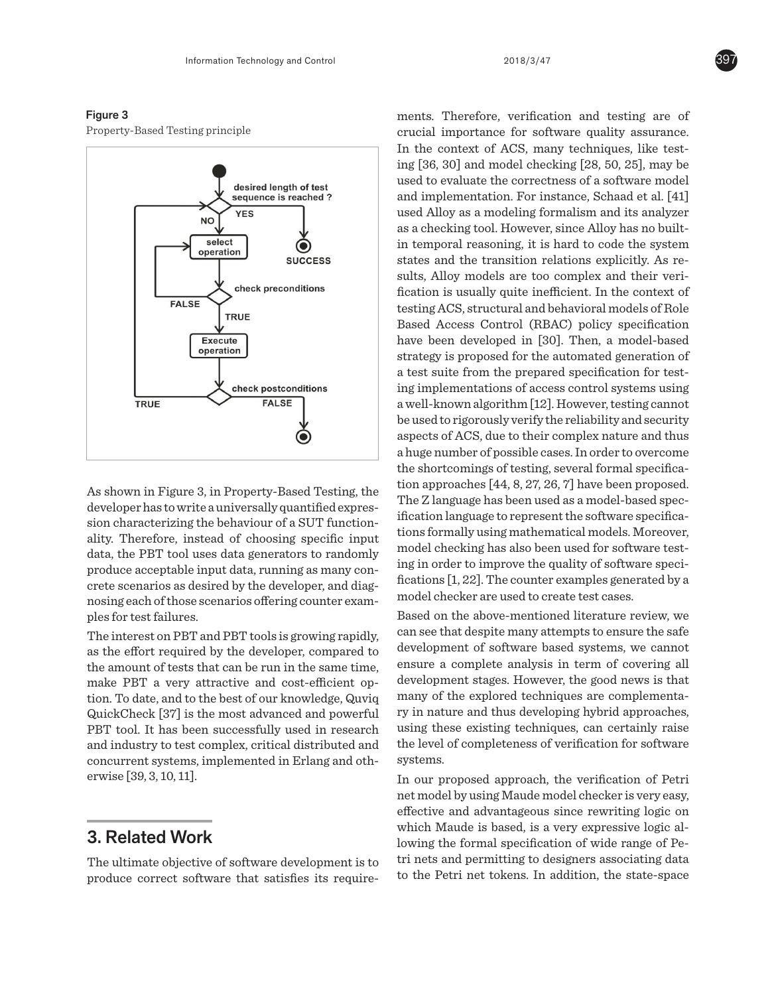#### Figure 3

Property-Based Testing principle **Figure 3** 



As shown in Figure 3, in Property-Based Testing, the As shown in Figure 3, in Property-Based Testing, developer has to write a universally quantified expression characterizing the behaviour of a SUT functionality. Therefore, instead of choosing specific input data, the PBT tool uses data generators to randomly produce acceptable input data, running as many concrete scenarios as desired by the developer, and diagnosing each of those scenarios offering counter examples for test failures. hown in Figure 3, in Property-Based Testing,  $\cdot$  $\mu$ , the  $\mu$   $\mu$  tool uses that generators to random

The interest on PBT and PBT tools is growing rapidly, as the effort required by the developer, compared to as are entert required by the developer, compared to the amount of tests that can be run in the same time, make PBT a very attractive and cost-efficient option. To date, and to the best of our knowledge, Quviq QuickCheck [37] is the most advanced and powerful PBT tool. It has been successfully used in research and industry to test complex, critical distributed and concurrent systems, implemented in Erlang and otherwise [39, 3, 10, 11]. efficient of tests that can be fun in the same th

# 3. Related Work

The ultimate objective of software development is to produce correct software that satisfies its require-

ments. Therefore, verification and testing are of  $t_1$  to produce correct software that satisfies its interest software that satisfies its interest of  $\alpha$ crucial importance for software quality assurance.  $\Box$  In the context of ACS, many techniques, like test- $\ln$  ing [36, 30] and model checking [28, 50, 25], may be used to evaluate the correctness of a software model and implementation. For instance, Schaad et al. [41] software model and implementation. For instance,  $\parallel$  used Alloy as a modeling formalism and its analyzer  $\parallel$  as a checking tool. However, since Alloy has no builtin temporal reasoning, it is hard to code the system states and the transition relations explicitly. As re- $\frac{1}{\sqrt{1-\frac{1}{\sqrt{1-\frac{1}{\sqrt{1-\frac{1}{\sqrt{1-\frac{1}{\sqrt{1-\frac{1}{\sqrt{1-\frac{1}{\sqrt{1-\frac{1}{\sqrt{1-\frac{1}{\sqrt{1-\frac{1}{\sqrt{1-\frac{1}{\sqrt{1-\frac{1}{\sqrt{1-\frac{1}{\sqrt{1-\frac{1}{\sqrt{1-\frac{1}{\sqrt{1-\frac{1}{\sqrt{1-\frac{1}{\sqrt{1-\frac{1}{\sqrt{1-\frac{1}{\sqrt{1-\frac{1}{\sqrt{1-\frac{1}{\sqrt{1-\frac{1}{\sqrt{1-\frac{1}{\sqrt{1-\frac{1}{\sqrt{1-\frac{1$ sults, Alloy models are too complex and their veri- $\parallel$  fication is usually quite inefficient. In the context of ACS, structural and behavioral models of Role testing ACS, structural and behavioral models of Role based Access Control (RBAC) policy specification Based Access Control (RBAC) policy specification have been developed in [30]. Then, a model-based have been developed in [30]. Then, a model-based  $\frac{1}{2}$  stategy is proposed for the automated generation  $\frac{1}{2}$  $strategy$  is proposed for the automated generation of  $\vert$  a test suite from the prepared specification for test- $\parallel$  ing implementations of access control systems using  $\vert$  a well-known algorithm [12]. However, testing cannot  $\parallel$  be used to rigorously verify the reliability and security  $\sim$  color constraintly verified the huge number of  $\sim$ aspects of ACS, due to their complex nature and thus a huge number of possible cases. In order to overcome the shortcomings of testing, several formal specification approaches  $[44, 8, 27, 26, 7]$  have been proposed. e The Z language has been used as a model-based spec- $\frac{1}{2}$  in  $\frac{1}{2}$  and  $\frac{1}{2}$  in  $\frac{1}{2}$  in  $\frac{1}{2}$  in  $\frac{1}{2}$  in  $\frac{1}{2}$  in  $\frac{1}{2}$ ification language to represent the software specifica- $\frac{1}{\epsilon}$  tions formally using mathematical models. Moreover,  $\tilde{h}_{\alpha}$  model checking has also been used for software test- $\int_{-}^{\mathbf{y}}$  ing in order to improve the quality of software speci- $\frac{1}{2}$  fications [1, 22]. The counter examples generated by a model checker are used to create test cases.

we can see that despite many attempts to ensure Based on the above-mentioned literature review, we  $\epsilon_{\rm r}$  can see that despite many attempts to ensure the safe  $\alpha$  development of software based systems, we cannot ensure a complete analysis in term of covering all  $\frac{1}{2}$ , chose complementary in the complete  $\frac{1}{2}$ development stages. However, the good news is that q many of the explored techniques are complementa- $\eta$  ry in nature and thus developing hybrid approaches, using these existing techniques, can certainly raise the level of completeness of verification for software systems.

In our proposed approach, the verification of Petri net model by using Maude model checker is very easy, effective and advantageous since rewriting logic on which Maude is based, is a very expressive logic allowing the formal specification of wide range of Petri nets and permitting to designers associating data to the Petri net tokens. In addition, the state-space

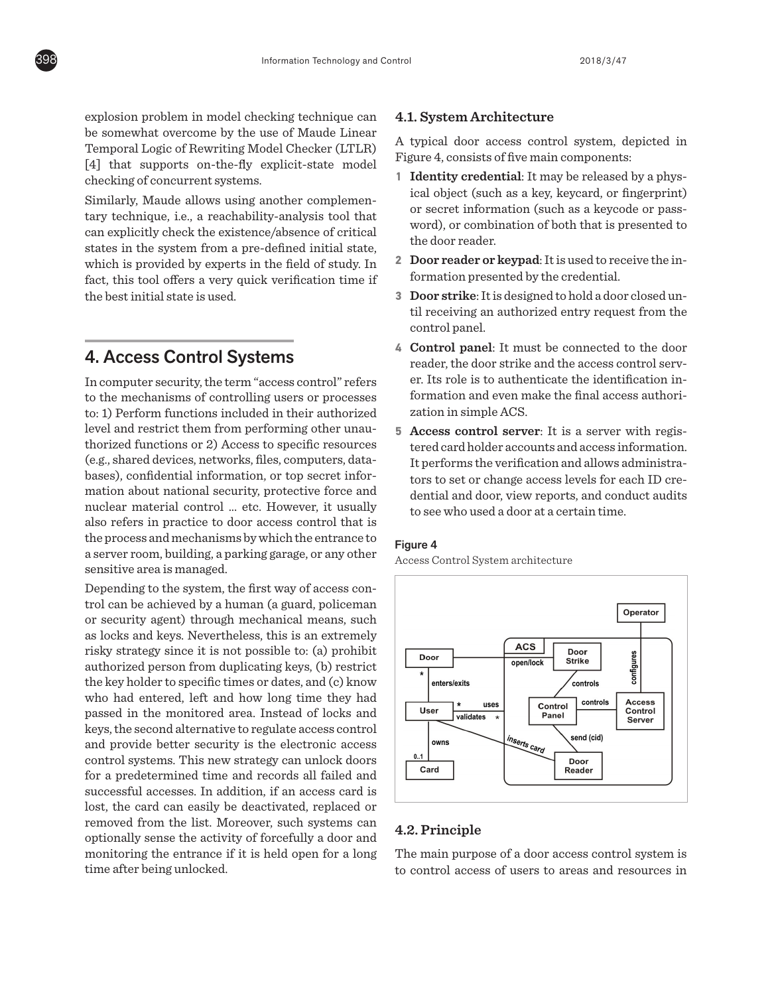explosion problem in model checking technique can on-present present in the concentration continues the same of  $M$  and  $\epsilon$  Linear Temporal Logic of Rewriting Model Checker (LTLR) [4] that supports on-the-fly explicit-state model checking of concurrent systems.

Similarly, Maude allows using another complemen-Emmary, ridded directle deriver is also also the complement tary technique, i.e., a reachability-analysis tool that can explicitly check the existence/absence of critical edin capiterity effect the existence/absence of effective states in the system from a pre-defined initial state, states in the system from a pre-defined initial state, which is provided by experts in the field of study. In fact, this tool offers a very quick verification time if the best initial state is used.

refers to the mechanisms of controlling users or

## 4. Access Control Systems

In computer security, the term "access control" refers to the mechanisms of controlling users or processes  $\mathbb{R}^n$ to: 1) Perform functions included in their authorized level and restrict them from performing other unauthorized functions or 2) Access to specific resources (e.g., shared devices, networks, files, computers, databases), confidential information, or top secret information about national security, protective force and nuclear material control ... etc. However, it usually also refers in practice to door access control that is the process and mechanisms by which the entrance to a server room, building, a parking garage, or any other a server room, sumang, a paramg garage, or any sensitive area is managed. n computer security, the term access control refers  $p_1$  is the contraction of the contraction of  $\mathcal{L}$ 

Depending to the system, the first way of access control can be achieved by a human (a guard, policeman or security agent) through mechanical means, such as locks and keys. Nevertheless, this is an extremely risky strategy since it is not possible to: (a) prohibit authorized person from duplicating keys, (b) restrict the key holder to specific times or dates, and (c) know who had entered, left and how long time they had passed in the monitored area. Instead of locks and keys, the second alternative to regulate access control and provide better security is the electronic access control systems. This new strategy can unlock doors for a predetermined time and records all failed and successful accesses. In addition, if an access card is lost, the card can easily be deactivated, replaced or removed from the list. Moreover, such systems can optionally sense the activity of forcefully a door and monitoring the entrance if it is held open for a long time after being unlocked. epending to the system, the first way of access con-

## **4.1. System Architecture**

A typical door access control system, depicted in Figure 4, consists of five main components:  $k \in \mathcal{H}$ , consists or necessarily components.

- **1 Identity credential:** It may be released by a physical object (such as a key, keycard, or fingerprint) or secret information (such as a keycode or passor secret information (such as a heycode or pass word), or combination of both that is presented to the door reader.
- 2 **Door reader or keypad**: It is used to receive the in-**Four Foundation presented by the credential.**
- **3 Door strike**: It is designed to hold a door closed until receiving an authorized entry request from the control panel. identification information and even make the
- **4 Control panel**: It must be connected to the door reader, the door strike and the access control server. Its role is to authenticate the identification information and even make the final access authorization in simple ACS. final access and the connected to the  $\epsilon$  $\frac{1}{2}$
- **5 Access control server**: It is a server with regis- $\epsilon$  tered card holder accounts and access information. It performs the verification and allows administrators to set or change access levels for each ID credential and door, view reports, and conduct audits to see who used a door at a certain time. cess control server: It is a server with regis-

#### Figure 4

Access Control System architecture **Figure 4** 



## **4.2. Principle**

The main purpose of a door access control system is to control access of users to areas and resources in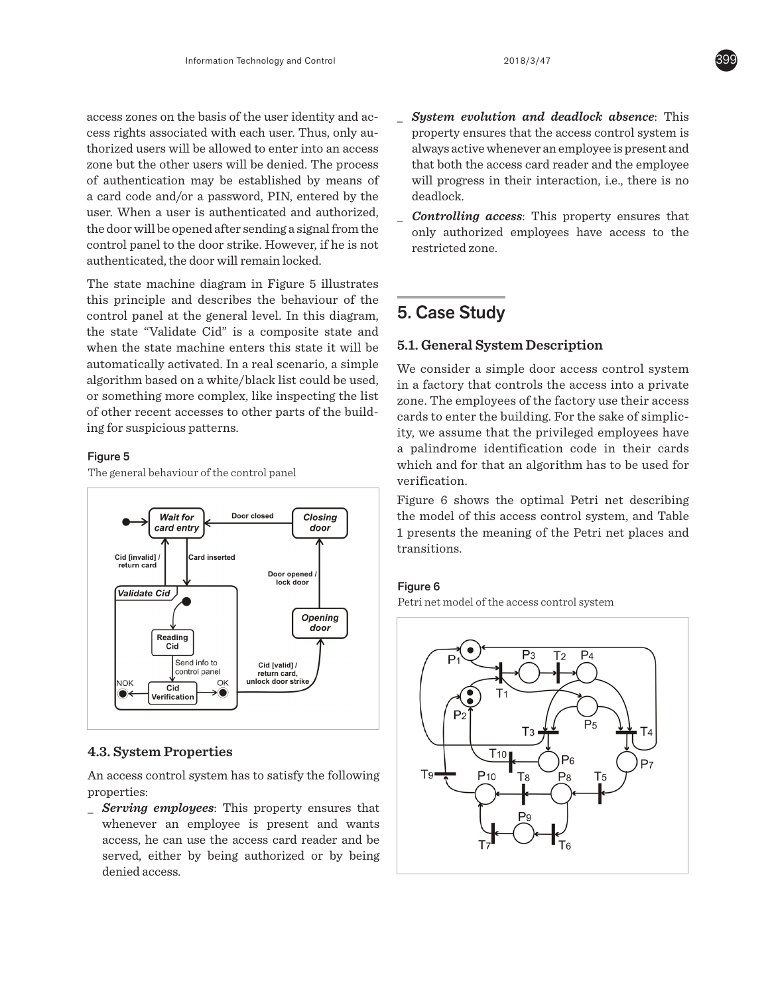access zones on the basis of the user identity and acaccess zones on the stans of the aser raemity and access rights associated with each user. Thus, only authorized users will be allowed to enter into an access access the state with the control of the control into an access of authentication may be established by means of of databalaction may be established by means of a card code and/or a password, PIN, entered by the user. When a user is authenticated and authorized,  $\overline{\phantom{a}}$ the door will be opened after sending a signal from the  $\overline{\phantom{a}}$ and about which opened after bording a signal from the control panel to the door strike. However, if he is not authenticated, the door will remain locked. e but the other users will be denied. The process trol panel to the door strike. However, if he is not  $\alpha$ uthorized users will be allowed to the analysis of  $\alpha$ 

The state machine diagram in Figure 5 illustrates this principle and describes the behaviour of the  $\overline{\phantom{a}}$ entrol panel at the general level. In this diagram, the state "Validate Cid" is a composite state and when the state machine enters this state it will be  $\ddot{\phantom{a}}$ automatically activated. In a real scenario, a simple  $\bar{v}$ algorithm based on a white/black list could be used, or something more complex, like inspecting the list or something more complex, like inspecting the list of other recent accesses to other parts of the building for suspicious patterns. trol panel at the general level. In this diagr omething more complex, like inspecting the list  $\frac{1}{z}$ te macnine diagram in Figure 5 illustrates  $\frac{1}{1}$ 

## Figure 5 **Figure 5**

**The general behaviour of the control panel** 



## **4.3. System Properties**

An access control system has to satisfy the following properties:

**\_** *Serving employees*: This property ensures that whenever an employee is present and wants access, he can use the access card reader and be served, either by being authorized or by being denied access.

- **\_ System evolution and deadlock absence**: This property ensures that the access control system is always active whenever an employee is present and that both the access card reader and the employee will progress in their interaction, i.e., there is no deadlock. de that both the access card readers can be access to the access card readers and the access card readers at  $\alpha$
- **Controlling access**: This property ensures that system is no property changes that only authorized employees have access to the **Controlling access**: The employee will prove the employee will prove the employee will prove the employee will be employee with the employee will be employee with the employee will be employee with the employee with the e authorized employees have access to the

#### $_{\rm n,}$  5. Case Study  $\overline{a}$  authorizes have access to the theoretical employees have access to the theoretical employees have access to the theoretical employees  $\overline{a}$

## 5.1 General System Description **5.1. General System Description**  $\frac{1}{2}$  .  $\frac{1}{2}$  .  $\frac{1}{2}$

 $\mathbf{I}_\alpha$  $\mu_{\rm c}^{\rm He}$  We consider a simple door access control system d, in a factory that controls the access into a private  $\frac{st}{dt}$  zone. The employees of the factory use their access d<sup>1</sup> cards to enter the building. For the sake of simplicextend to employ the summing. The state ity, we assume that the privileged employees have a palindrome identification code in their cards which and for that an algorithm has to be used for  $\Box$  verification. of other recent accesses to other parts of the parts of the parts of the parts of the parts of the parts of the parts of the parts of the parts of the parts of the parts of the parts of the parts of the parts of the parts

The Commeasure state is the meaning of the Secret Secret Secret and Fetri net describing in Figure 6 shows the optimal Petri net describing the model of this access control system, and Table I presents the meaning of the Petri net places and transitions. ure 6 shows the opt resents the meaning of the retri net places and Table 1  $\mathbf{ns}$  means the meaning of the  $\mathbf{e}$  the Petri net place and places and places are placed and places and places and places are placed and places are placed and places are placed and places are placed and places are

#### Figure 6 **Figure 6**

Petri net model of the access control system Petri net model of the access control system



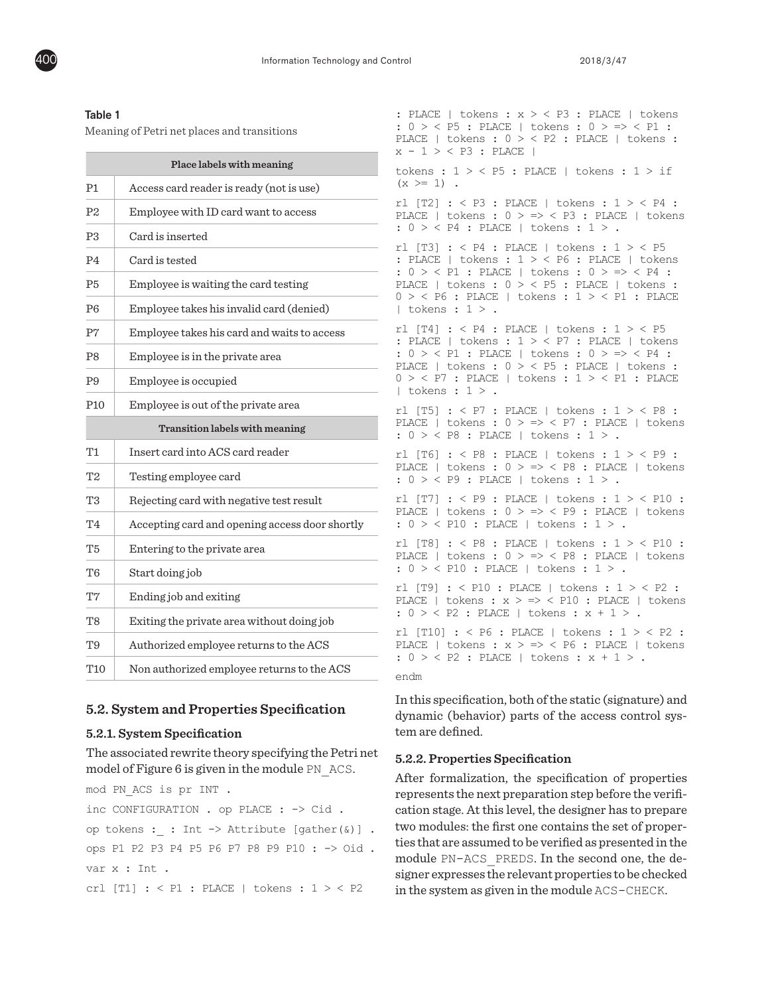

#### Table 1

Meaning of Petri net places and transitions

| Place labels with meaning      |                                                |
|--------------------------------|------------------------------------------------|
| Р1                             | Access card reader is ready (not is use)       |
| P <sub>2</sub>                 | Employee with ID card want to access           |
| P <sub>3</sub>                 | Card is inserted                               |
| P4                             | Card is tested                                 |
| P5                             | Employee is waiting the card testing           |
| P6                             | Employee takes his invalid card (denied)       |
| P7                             | Employee takes his card and waits to access    |
| P8                             | Employee is in the private area                |
| Р9                             | Employee is occupied                           |
| P <sub>10</sub>                | Employee is out of the private area            |
| Transition labels with meaning |                                                |
| Τ1                             | Insert card into ACS card reader               |
| T <sub>2</sub>                 | Testing employee card                          |
| T3                             | Rejecting card with negative test result       |
| T4                             | Accepting card and opening access door shortly |
| T <sub>5</sub>                 | Entering to the private area                   |
| T6                             | Start doing job                                |
| T7                             | Ending job and exiting                         |
| T8                             | Exiting the private area without doing job     |
| T9                             | Authorized employee returns to the ACS         |
| T10                            | Non authorized employee returns to the ACS     |

#### **5.2. System and Properties Specification**

#### **5.2.1. System Specification**

The associated rewrite theory specifying the Petri net model of Figure 6 is given in the module PN\_ACS.

mod PN\_ACS is pr INT . inc CONFIGURATION . op PLACE : -> Cid . op tokens : : Int -> Attribute  $[gather(6)]$ . ops P1 P2 P3 P4 P5 P6 P7 P8 P9 P10 : -> Oid . var x : Int .

crl [T1] : < P1 : PLACE | tokens : 1 > < P2

: PLACE | tokens : x > < P3 : PLACE | tokens : 0 > < P5 : PLACE | tokens : 0 > => < P1 : PLACE | tokens : 0 > < P2 : PLACE | tokens :  $x - 1 > <$  P3 : PLACE | tokens :  $1 > <$  P5 : PLACE | tokens :  $1 >$  if  $(x > = 1)$ . rl  $[T2]$  : < P3 : PLACE | tokens :  $1 >$  P4 : PLACE | tokens :  $0$  > => < P3 : PLACE | tokens : 0 > < P4 : PLACE | tokens : 1 > . rl  $[T3]$  : < P4 : PLACE | tokens :  $1 >$  P5 : PLACE | tokens : 1 > < P6 : PLACE | tokens : 0 > < P1 : PLACE | tokens : 0 > => < P4 : PLACE | tokens : 0 > < P5 : PLACE | tokens :  $0 > < P6$ : PLACE | tokens :  $1 > < P1$ : PLACE  $|$  tokens :  $1 >$ . rl  $[T4]$  : < P4 : PLACE | tokens :  $1$  > < P5 : PLACE | tokens : 1 > < P7 : PLACE | tokens : 0 > < P1 : PLACE | tokens : 0 > => < P4 : PLACE | tokens :  $0$  > < P5 : PLACE | tokens :  $0 > <$  P7 : PLACE | tokens :  $1 > <$  P1 : PLACE | tokens :  $1 >$ . rl [T5] : < P7 : PLACE | tokens : 1 > < P8 : PLACE | tokens : 0 > => < P7 : PLACE | tokens : 0 > < P8 : PLACE | tokens : 1 > . rl [T6] : < P8 : PLACE | tokens : 1 > < P9 : PLACE | tokens :  $0 > \Rightarrow$  < P8 : PLACE | tokens : 0 > < P9 : PLACE | tokens : 1 > . rl [T7] : < P9 : PLACE | tokens : 1 > < P10 : PLACE | tokens : 0 > => < P9 : PLACE | tokens : 0 > < P10 : PLACE | tokens : 1 > . rl [T8] : < P8 : PLACE | tokens : 1 > < P10 : PLACE | tokens : 0 > => < P8 : PLACE | tokens : 0 > < P10 : PLACE | tokens : 1 > . rl [T9] : < P10 : PLACE | tokens : 1 > < P2 : PLACE | tokens :  $x > \Rightarrow$  < P10 : PLACE | tokens :  $0 > < P2$  : PLACE | tokens :  $x + 1 >$ . rl [T10] : < P6 : PLACE | tokens : 1 > < P2 : PLACE | tokens :  $x$  > => < P6 : PLACE | tokens : 0 > < P2 : PLACE | tokens : x + 1 > . endm In this specification, both of the static (signature) and

dynamic (behavior) parts of the access control sys-

tem are defined.

# **5.2.2. Properties Specification**

After formalization, the specification of properties represents the next preparation step before the verification stage. At this level, the designer has to prepare two modules: the first one contains the set of properties that are assumed to be verified as presented in the module PN-ACS\_PREDS. In the second one, the designer expresses the relevant properties to be checked in the system as given in the module ACS-CHECK.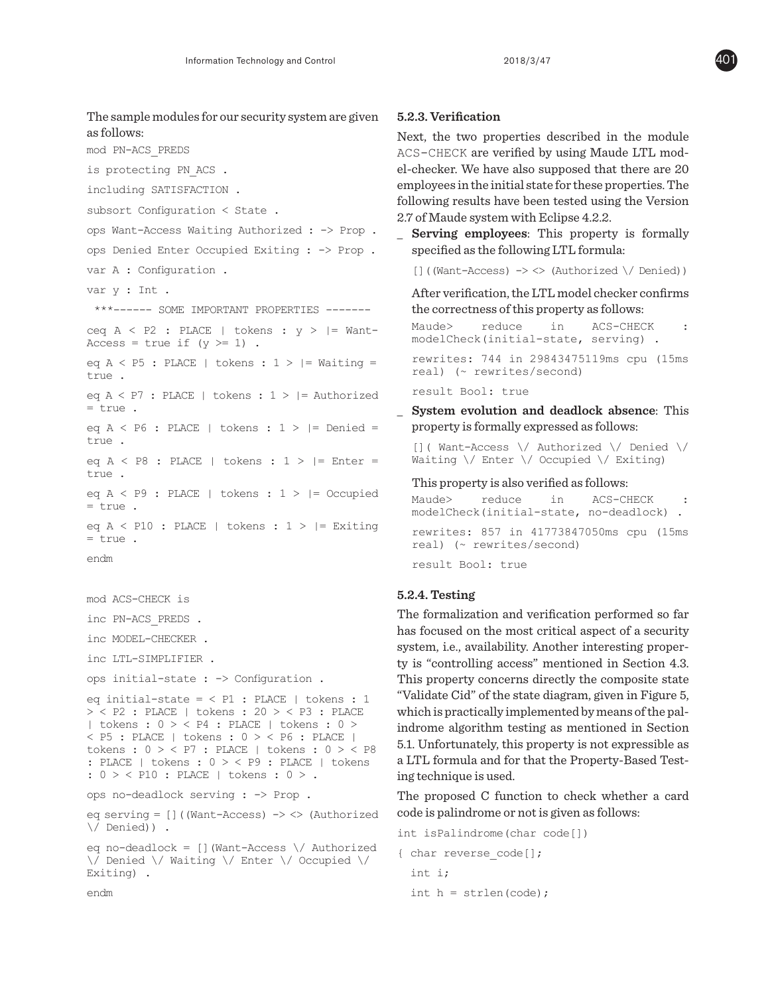The sample modules for our security system are given as follows: mod PN-ACS\_PREDS is protecting PN\_ACS . including SATISFACTION . subsort Configuration < State . ops Want-Access Waiting Authorized : -> Prop . ops Denied Enter Occupied Exiting : -> Prop . var A : Configuration . var y : Int . \*\*\*------ SOME IMPORTANT PROPERTIES ------ ceq  $A \leq P2$ : PLACE | tokens:  $y >$  |= Want-Access = true if  $(y \ge 1)$ . eq  $A < P5$ : PLACE | tokens :  $1 >$  |= Waiting =  $t$ rue eq  $A \leq P7$ : PLACE | tokens :  $1 > I$  = Authorized = true . eq  $A \le P6$ : PLACE | tokens :  $1 >$  |= Denied = true . eq  $A \leq P8$  : PLACE | tokens :  $1 >$  |= Enter = true . eq  $A \leq P9$  : PLACE | tokens :  $1 >$  |= Occupied = true . eq  $A \leq P10$  : PLACE | tokens :  $1 >$  |= Exiting = true . endm mod ACS-CHECK is inc PN-ACS\_PREDS . inc MODEL-CHECKER . inc LTL-SIMPLIFIER . ops initial-state : -> Configuration . eq initial-state =  $<$  P1 : PLACE | tokens : 1 > < P2 : PLACE | tokens : 20 > < P3 : PLACE | tokens : 0 > < P4 : PLACE | tokens : 0 > < P5 : PLACE | tokens : 0 > < P6 : PLACE | tokens : 0 > < P7 : PLACE | tokens : 0 > < P8 : PLACE | tokens :  $0 > <$  P9 : PLACE | tokens : 0 > < P10 : PLACE | tokens : 0 > . ops no-deadlock serving : -> Prop . eq serving = []((Want-Access) -> <> (Authorized \/ Denied)) . eq no-deadlock =  $[]$  (Want-Access  $\setminus$  Authorized

```
\/ Denied \/ Waiting \/ Enter \/ Occupied \/ 
Exiting) .
```
#### **5.2.3. Verification**

Next, the two properties described in the module ACS-CHECK are verified by using Maude LTL model-checker. We have also supposed that there are 20 employees in the initial state for these properties. The following results have been tested using the Version 2.7 of Maude system with Eclipse 4.2.2.

**\_ Serving employees**: This property is formally specified as the following LTL formula:

 $[$ ]((Want-Access) -> <> (Authorized  $\setminus$  Denied))

After verification, the LTL model checker confirms the correctness of this property as follows:

Maude> reduce in ACS-CHECK : modelCheck(initial-state, serving) .

rewrites: 744 in 29843475119ms cpu (15ms real) (~ rewrites/second)

result Bool: true

**\_ System evolution and deadlock absence**: This property is formally expressed as follows:

[]( Want-Access \/ Authorized \/ Denied \/ Waiting \/ Enter \/ Occupied \/ Exiting)

#### This property is also verified as follows:

Maude> reduce in ACS-CHECK : modelCheck(initial-state, no-deadlock) . rewrites: 857 in 41773847050ms cpu (15ms real) (~ rewrites/second) result Bool: true

#### **5.2.4. Testing**

The formalization and verification performed so far has focused on the most critical aspect of a security system, i.e., availability. Another interesting property is "controlling access" mentioned in Section 4.3. This property concerns directly the composite state "Validate Cid" of the state diagram, given in Figure 5, which is practically implemented by means of the palindrome algorithm testing as mentioned in Section 5.1. Unfortunately, this property is not expressible as a LTL formula and for that the Property-Based Testing technique is used.

The proposed C function to check whether a card code is palindrome or not is given as follows:

```
int isPalindrome(char code[])
{ char reverse_code[];
   int i;
  int h = strlen(code);
```
endm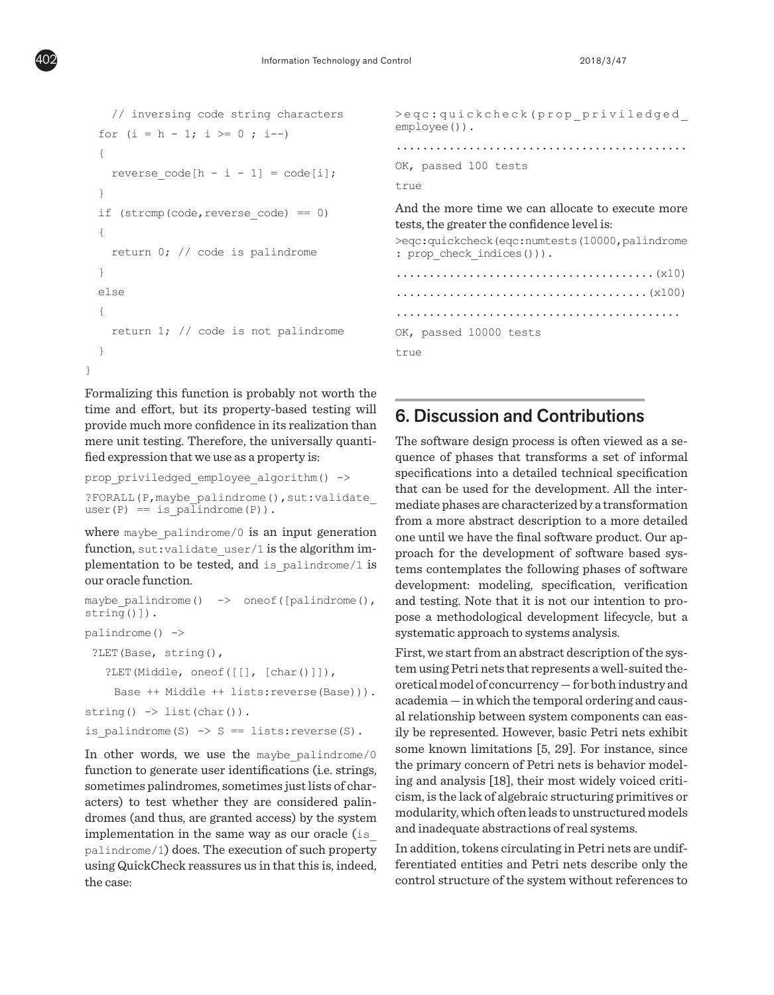```
 // inversing code string characters 
  for (i = h - 1; i > = 0; i--)\mathcal{A}reverse code[h - i - 1] = code[i]; }
  if (strcmp(code,reverse code) == 0)\mathcal{A} return 0; // code is palindrome
   }
   else
   {
     return 1; // code is not palindrome
   }
}
```
Formalizing this function is probably not worth the time and effort, but its property-based testing will provide much more confidence in its realization than mere unit testing. Therefore, the universally quantified expression that we use as a property is:

```
prop_priviledged_employee_algorithm() ->
?FORALL(P,maybe_palindrome(),sut:validate_
user(P) == is palindrome(P)).
```
where maybe palindrome/0 is an input generation function, sut: validate user/1 is the algorithm implementation to be tested, and is palindrome/1 is our oracle function.

```
maybe palindrome() \rightarrow oneof([palindrome(),
string()]).
palindrome() ->
  ?LET(Base, string(),
    ?LET(Middle, oneof([[], [char()]]),
      Base ++ Middle ++ lists:reverse(Base))).
string() \rightarrow list(char()).
is palindrome(S) \rightarrow S == lists:reverse(S).
```
In other words, we use the maybe palindrome/0 function to generate user identifications (i.e. strings, sometimes palindromes, sometimes just lists of characters) to test whether they are considered palindromes (and thus, are granted access) by the system implementation in the same way as our oracle (is\_ palindrome/1) does. The execution of such property using QuickCheck reassures us in that this is, indeed, the case:

```
>eqc:quickcheck(prop_priviledged_
employee()).
............................................
OK, passed 100 tests 
true
And the more time we can allocate to execute more 
tests, the greater the confidence level is:
>eqc:quickcheck(eqc:numtests(10000,palindrome
: prop_check_indices())).
.......................................(x10)
......................................(x100)
...........................................
OK, passed 10000 tests 
true
```
# 6. Discussion and Contributions

The software design process is often viewed as a sequence of phases that transforms a set of informal specifications into a detailed technical specification that can be used for the development. All the intermediate phases are characterized by a transformation from a more abstract description to a more detailed one until we have the final software product. Our approach for the development of software based systems contemplates the following phases of software development: modeling, specification, verification and testing. Note that it is not our intention to propose a methodological development lifecycle, but a systematic approach to systems analysis.

First, we start from an abstract description of the system using Petri nets that represents a well-suited theoretical model of concurrency — for both industry and academia — in which the temporal ordering and causal relationship between system components can easily be represented. However, basic Petri nets exhibit some known limitations [5, 29]. For instance, since the primary concern of Petri nets is behavior modeling and analysis [18], their most widely voiced criticism, is the lack of algebraic structuring primitives or modularity, which often leads to unstructured models and inadequate abstractions of real systems.

In addition, tokens circulating in Petri nets are undifferentiated entities and Petri nets describe only the control structure of the system without references to

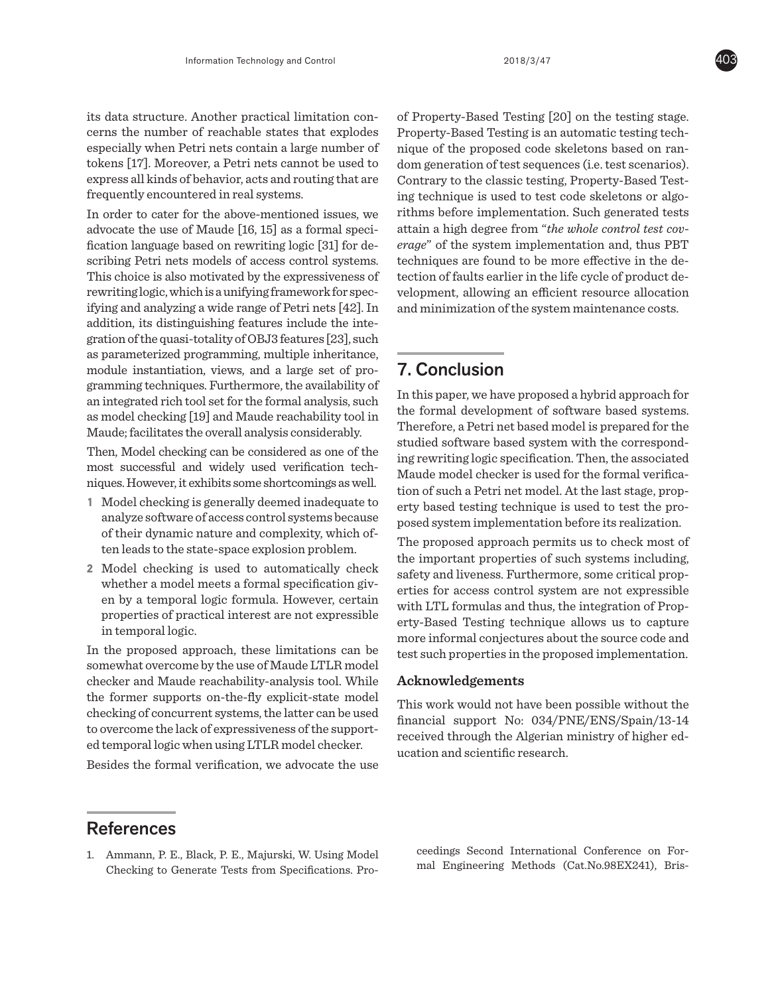its data structure. Another practical limitation concerns the number of reachable states that explodes especially when Petri nets contain a large number of tokens [17]. Moreover, a Petri nets cannot be used to express all kinds of behavior, acts and routing that are frequently encountered in real systems.

In order to cater for the above-mentioned issues, we advocate the use of Maude [16, 15] as a formal specification language based on rewriting logic [31] for describing Petri nets models of access control systems. This choice is also motivated by the expressiveness of rewriting logic, which is a unifying framework for specifying and analyzing a wide range of Petri nets [42]. In addition, its distinguishing features include the integration of the quasi-totality of OBJ3 features [23], such as parameterized programming, multiple inheritance, module instantiation, views, and a large set of programming techniques. Furthermore, the availability of an integrated rich tool set for the formal analysis, such as model checking [19] and Maude reachability tool in Maude; facilitates the overall analysis considerably.

Then, Model checking can be considered as one of the most successful and widely used verification techniques. However, it exhibits some shortcomings as well.

- **1** Model checking is generally deemed inadequate to analyze software of access control systems because of their dynamic nature and complexity, which often leads to the state-space explosion problem.
- **2** Model checking is used to automatically check whether a model meets a formal specification given by a temporal logic formula. However, certain properties of practical interest are not expressible in temporal logic.

In the proposed approach, these limitations can be somewhat overcome by the use of Maude LTLR model checker and Maude reachability-analysis tool. While the former supports on-the-fly explicit-state model checking of concurrent systems, the latter can be used to overcome the lack of expressiveness of the supported temporal logic when using LTLR model checker.

Besides the formal verification, we advocate the use

of Property-Based Testing [20] on the testing stage. Property-Based Testing is an automatic testing technique of the proposed code skeletons based on random generation of test sequences (i.e. test scenarios). Contrary to the classic testing, Property-Based Testing technique is used to test code skeletons or algorithms before implementation. Such generated tests attain a high degree from "*the whole control test coverage*" of the system implementation and, thus PBT techniques are found to be more effective in the detection of faults earlier in the life cycle of product development, allowing an efficient resource allocation and minimization of the system maintenance costs.

# 7. Conclusion

In this paper, we have proposed a hybrid approach for the formal development of software based systems. Therefore, a Petri net based model is prepared for the studied software based system with the corresponding rewriting logic specification. Then, the associated Maude model checker is used for the formal verification of such a Petri net model. At the last stage, property based testing technique is used to test the proposed system implementation before its realization.

The proposed approach permits us to check most of the important properties of such systems including, safety and liveness. Furthermore, some critical properties for access control system are not expressible with LTL formulas and thus, the integration of Property-Based Testing technique allows us to capture more informal conjectures about the source code and test such properties in the proposed implementation.

## **Acknowledgements**

This work would not have been possible without the financial support No: 034/PNE/ENS/Spain/13-14 received through the Algerian ministry of higher education and scientific research.

# **References**

1. Ammann, P. E., Black, P. E., Majurski, W. Using Model Checking to Generate Tests from Specifications. Proceedings Second International Conference on Formal Engineering Methods (Cat.No.98EX241), Bris-

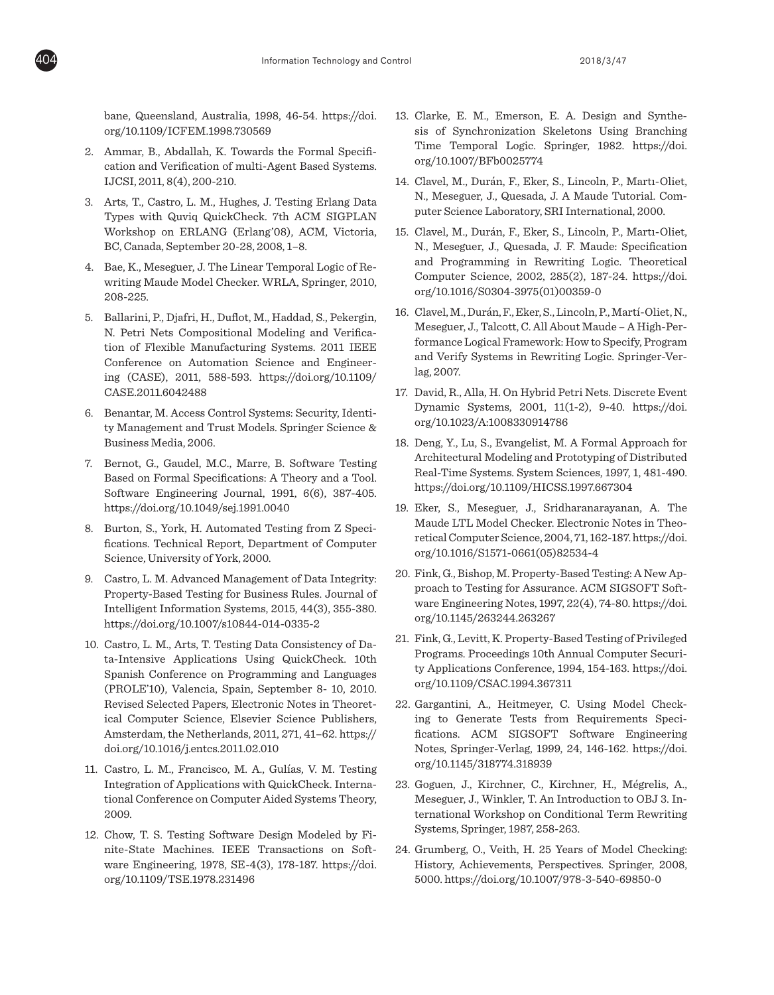bane, Queensland, Australia, 1998, 46-54. https://doi. org/10.1109/ICFEM.1998.730569

- 2. Ammar, B., Abdallah, K. Towards the Formal Specification and Verification of multi-Agent Based Systems. IJCSI, 2011, 8(4), 200-210.
- 3. Arts, T., Castro, L. M., Hughes, J. Testing Erlang Data Types with Quviq QuickCheck. 7th ACM SIGPLAN Workshop on ERLANG (Erlang'08), ACM, Victoria, BC, Canada, September 20-28, 2008, 1–8.
- 4. Bae, K., Meseguer, J. The Linear Temporal Logic of Rewriting Maude Model Checker. WRLA, Springer, 2010, 208-225.
- 5. Ballarini, P., Djafri, H., Duflot, M., Haddad, S., Pekergin, N. Petri Nets Compositional Modeling and Verification of Flexible Manufacturing Systems. 2011 IEEE Conference on Automation Science and Engineering (CASE), 2011, 588-593. https://doi.org/10.1109/ CASE.2011.6042488
- 6. Benantar, M. Access Control Systems: Security, Identity Management and Trust Models. Springer Science & Business Media, 2006.
- 7. Bernot, G., Gaudel, M.C., Marre, B. Software Testing Based on Formal Specifications: A Theory and a Tool. Software Engineering Journal, 1991, 6(6), 387-405. https://doi.org/10.1049/sej.1991.0040
- 8. Burton, S., York, H. Automated Testing from Z Specifications. Technical Report, Department of Computer Science, University of York, 2000.
- 9. Castro, L. M. Advanced Management of Data Integrity: Property-Based Testing for Business Rules. Journal of Intelligent Information Systems, 2015, 44(3), 355-380. https://doi.org/10.1007/s10844-014-0335-2
- 10. Castro, L. M., Arts, T. Testing Data Consistency of Data-Intensive Applications Using QuickCheck. 10th Spanish Conference on Programming and Languages (PROLE'10), Valencia, Spain, September 8- 10, 2010. Revised Selected Papers, Electronic Notes in Theoretical Computer Science, Elsevier Science Publishers, Amsterdam, the Netherlands, 2011, 271, 41–62. https:// doi.org/10.1016/j.entcs.2011.02.010
- 11. Castro, L. M., Francisco, M. A., Gulías, V. M. Testing Integration of Applications with QuickCheck. International Conference on Computer Aided Systems Theory, 2009.
- 12. Chow, T. S. Testing Software Design Modeled by Finite-State Machines. IEEE Transactions on Software Engineering, 1978, SE-4(3), 178-187. https://doi. org/10.1109/TSE.1978.231496
- 13. Clarke, E. M., Emerson, E. A. Design and Synthesis of Synchronization Skeletons Using Branching Time Temporal Logic. Springer, 1982. https://doi. org/10.1007/BFb0025774
- 14. Clavel, M., Durán, F., Eker, S., Lincoln, P., Martı-Oliet, N., Meseguer, J., Quesada, J. A Maude Tutorial. Computer Science Laboratory, SRI International, 2000.
- 15. Clavel, M., Durán, F., Eker, S., Lincoln, P., Martı-Oliet, N., Meseguer, J., Quesada, J. F. Maude: Specification and Programming in Rewriting Logic. Theoretical Computer Science, 2002, 285(2), 187-24. https://doi. org/10.1016/S0304-3975(01)00359-0
- 16. Clavel, M., Durán, F., Eker, S., Lincoln, P., Martí-Oliet, N., Meseguer, J., Talcott, C. All About Maude – A High-Performance Logical Framework: How to Specify, Program and Verify Systems in Rewriting Logic. Springer-Verlag, 2007.
- 17. David, R., Alla, H. On Hybrid Petri Nets. Discrete Event Dynamic Systems, 2001, 11(1-2), 9-40. https://doi. org/10.1023/A:1008330914786
- 18. Deng, Y., Lu, S., Evangelist, M. A Formal Approach for Architectural Modeling and Prototyping of Distributed Real-Time Systems. System Sciences, 1997, 1, 481-490. https://doi.org/10.1109/HICSS.1997.667304
- 19. Eker, S., Meseguer, J., Sridharanarayanan, A. The Maude LTL Model Checker. Electronic Notes in Theoretical Computer Science, 2004, 71, 162-187. https://doi. org/10.1016/S1571-0661(05)82534-4
- 20. Fink, G., Bishop, M. Property-Based Testing: A New Approach to Testing for Assurance. ACM SIGSOFT Software Engineering Notes, 1997, 22(4), 74-80. https://doi. org/10.1145/263244.263267
- 21. Fink, G., Levitt, K. Property-Based Testing of Privileged Programs. Proceedings 10th Annual Computer Security Applications Conference, 1994, 154-163. https://doi. org/10.1109/CSAC.1994.367311
- 22. Gargantini, A., Heitmeyer, C. Using Model Checking to Generate Tests from Requirements Specifications. ACM SIGSOFT Software Engineering Notes, Springer-Verlag, 1999, 24, 146-162. https://doi. org/10.1145/318774.318939
- 23. Goguen, J., Kirchner, C., Kirchner, H., Mégrelis, A., Meseguer, J., Winkler, T. An Introduction to OBJ 3. International Workshop on Conditional Term Rewriting Systems, Springer, 1987, 258-263.
- 24. Grumberg, O., Veith, H. 25 Years of Model Checking: History, Achievements, Perspectives. Springer, 2008, 5000. https://doi.org/10.1007/978-3-540-69850-0